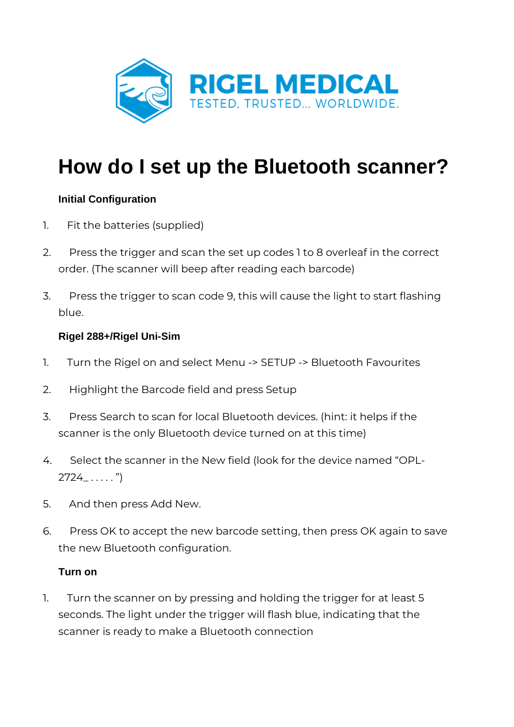

# **How do I set up the Bluetooth scanner?**

# **Initial Configuration**

- 1. Fit the batteries (supplied)
- 2. Press the trigger and scan the set up codes 1 to 8 overleaf in the correct order. (The scanner will beep after reading each barcode)
- 3. Press the trigger to scan code 9, this will cause the light to start flashing blue.

### **Rigel 288+/Rigel Uni-Sim**

- 1. Turn the Rigel on and select Menu -> SETUP -> Bluetooth Favourites
- 2. Highlight the Barcode field and press Setup
- 3. Press Search to scan for local Bluetooth devices. (hint: it helps if the scanner is the only Bluetooth device turned on at this time)
- 4. Select the scanner in the New field (look for the device named "OPL- $2724$ <sub>-</sub> . . . . . . ")
- 5. And then press Add New.
- 6. Press OK to accept the new barcode setting, then press OK again to save the new Bluetooth configuration.

### **Turn on**

1. Turn the scanner on by pressing and holding the trigger for at least 5 seconds. The light under the trigger will flash blue, indicating that the scanner is ready to make a Bluetooth connection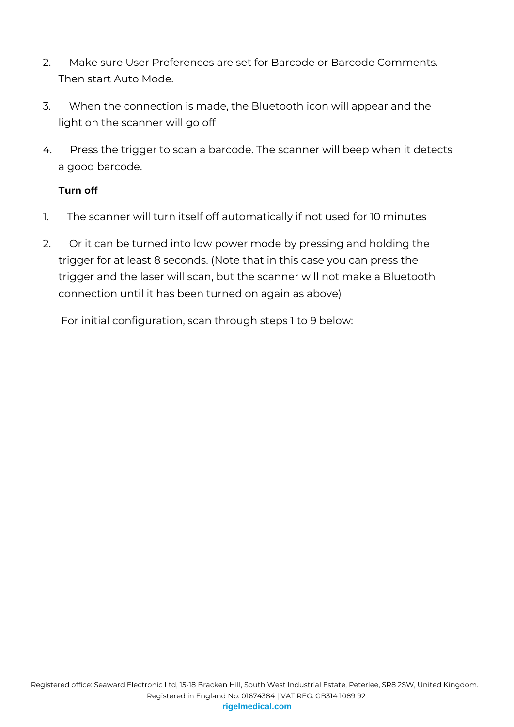- 2. Make sure User Preferences are set for Barcode or Barcode Comments. Then start Auto Mode.
- 3. When the connection is made, the Bluetooth icon will appear and the light on the scanner will go off
- 4. Press the trigger to scan a barcode. The scanner will beep when it detects a good barcode.

# **Turn off**

- 1. The scanner will turn itself off automatically if not used for 10 minutes
- 2. Or it can be turned into low power mode by pressing and holding the trigger for at least 8 seconds. (Note that in this case you can press the trigger and the laser will scan, but the scanner will not make a Bluetooth connection until it has been turned on again as above)

For initial configuration, scan through steps 1 to 9 below: